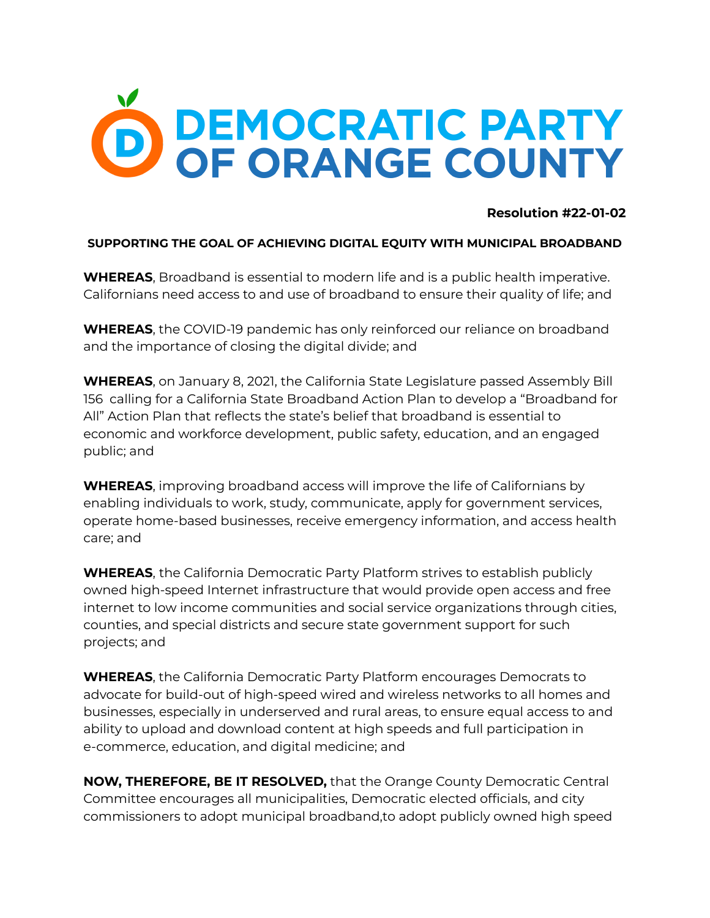

## **Resolution #22-01-02**

## **SUPPORTING THE GOAL OF ACHIEVING DIGITAL EQUITY WITH MUNICIPAL BROADBAND**

**WHEREAS**, Broadband is essential to modern life and is a public health imperative. Californians need access to and use of broadband to ensure their quality of life; and

**WHEREAS**, the COVID-19 pandemic has only reinforced our reliance on broadband and the importance of closing the digital divide; and

**WHEREAS**, on January 8, 2021, the California State Legislature passed Assembly Bill 156 calling for a California State Broadband Action Plan to develop a "Broadband for All" Action Plan that reflects the state's belief that broadband is essential to economic and workforce development, public safety, education, and an engaged public; and

**WHEREAS**, improving broadband access will improve the life of Californians by enabling individuals to work, study, communicate, apply for government services, operate home-based businesses, receive emergency information, and access health care; and

**WHEREAS**, the California Democratic Party Platform strives to establish publicly owned high-speed Internet infrastructure that would provide open access and free internet to low income communities and social service organizations through cities, counties, and special districts and secure state government support for such projects; and

**WHEREAS**, the California Democratic Party Platform encourages Democrats to advocate for build-out of high-speed wired and wireless networks to all homes and businesses, especially in underserved and rural areas, to ensure equal access to and ability to upload and download content at high speeds and full participation in e-commerce, education, and digital medicine; and

**NOW, THEREFORE, BE IT RESOLVED,** that the Orange County Democratic Central Committee encourages all municipalities, Democratic elected officials, and city commissioners to adopt municipal broadband,to adopt publicly owned high speed